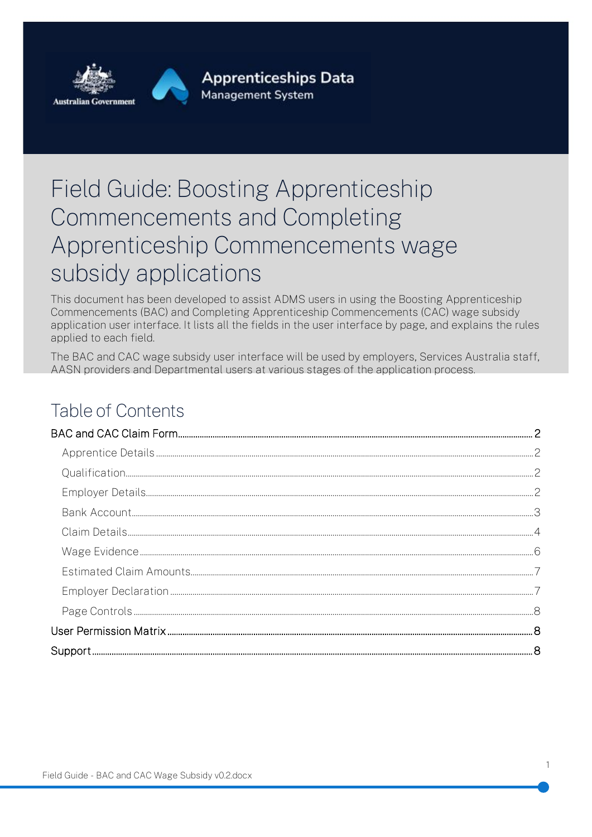

# Field Guide: Boosting Apprenticeship Commencements and Completing Apprenticeship Commencements wage subsidy applications

This document has been developed to assist ADMS users in using the Boosting Apprenticeship Commencements (BAC) and Completing Apprenticeship Commencements (CAC) wage subsidy application user interface. It lists all the fields in the user interface by page, and explains the rules applied to each field.

The BAC and CAC wage subsidy user interface will be used by employers. Services Australia staff. AASN providers and Departmental users at various stages of the application process.

# Table of Contents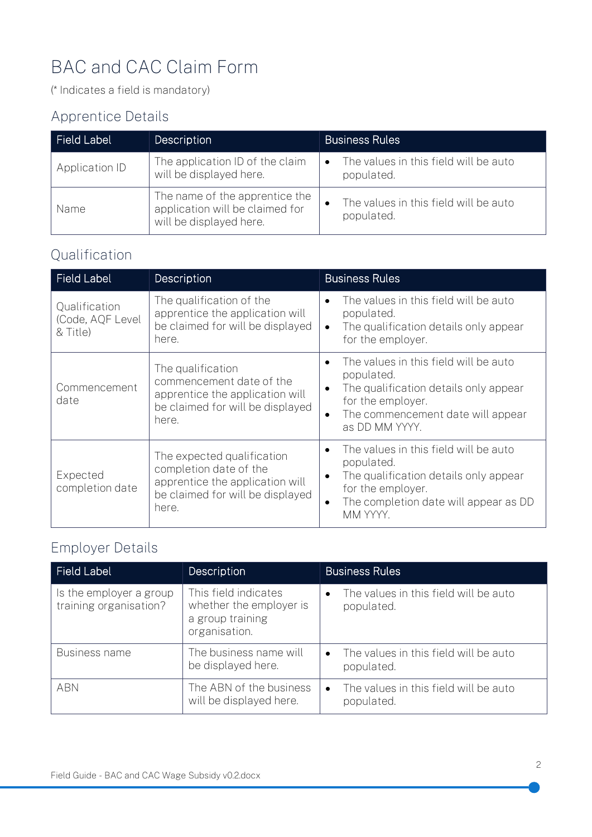# <span id="page-1-0"></span>BAC and CAC Claim Form

(\* Indicates a field is mandatory)

#### <span id="page-1-1"></span>Apprentice Details

| <b>Field Label</b> | <b>Description</b>                                                                           | <b>Business Rules</b>                                            |
|--------------------|----------------------------------------------------------------------------------------------|------------------------------------------------------------------|
| Application ID     | The application ID of the claim<br>will be displayed here.                                   | The values in this field will be auto<br>$\bullet$<br>populated. |
| Name               | The name of the apprentice the<br>application will be claimed for<br>will be displayed here. | The values in this field will be auto<br>populated.              |

#### <span id="page-1-2"></span>Qualification

| <b>Field Label</b>                            | <b>Description</b>                                                                                                                   | <b>Business Rules</b>                                                                                                                                                                                           |
|-----------------------------------------------|--------------------------------------------------------------------------------------------------------------------------------------|-----------------------------------------------------------------------------------------------------------------------------------------------------------------------------------------------------------------|
| Qualification<br>(Code, AQF Level<br>& Title) | The qualification of the<br>apprentice the application will<br>be claimed for will be displayed<br>here.                             | The values in this field will be auto<br>$\bullet$<br>populated.<br>The qualification details only appear<br>$\bullet$<br>for the employer.                                                                     |
| Commencement<br>date                          | The qualification<br>commencement date of the<br>apprentice the application will<br>be claimed for will be displayed<br>here.        | The values in this field will be auto<br>$\bullet$<br>populated.<br>The qualification details only appear<br>$\bullet$<br>for the employer.<br>The commencement date will appear<br>$\bullet$<br>as DD MM YYYY. |
| Expected<br>completion date                   | The expected qualification<br>completion date of the<br>apprentice the application will<br>be claimed for will be displayed<br>here. | The values in this field will be auto<br>$\bullet$<br>populated.<br>The qualification details only appear<br>$\bullet$<br>for the employer.<br>The completion date will appear as DD<br>$\bullet$<br>MM YYYY.   |

### <span id="page-1-3"></span>Employer Details

| Field Label                                       | <b>Description</b>                                                                   | <b>Business Rules</b>                                            |
|---------------------------------------------------|--------------------------------------------------------------------------------------|------------------------------------------------------------------|
| Is the employer a group<br>training organisation? | This field indicates<br>whether the employer is<br>a group training<br>organisation. | The values in this field will be auto<br>$\bullet$<br>populated. |
| <b>Business name</b>                              | The business name will<br>be displayed here.                                         | The values in this field will be auto<br>$\bullet$<br>populated. |
| <b>ABN</b>                                        | The ABN of the business<br>will be displayed here.                                   | The values in this field will be auto<br>populated.              |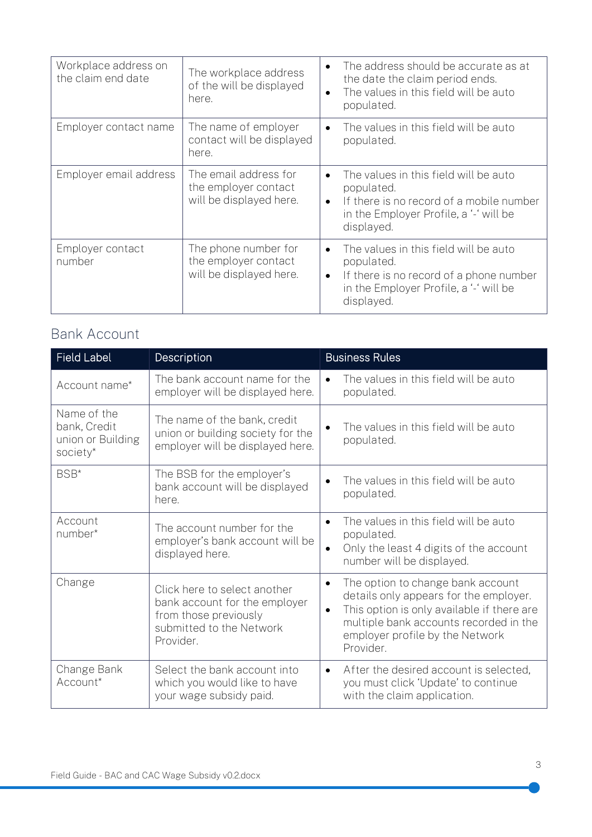| Workplace address on<br>the claim end date | The workplace address<br>of the will be displayed<br>here.               | The address should be accurate as at<br>$\bullet$<br>the date the claim period ends.<br>The values in this field will be auto<br>$\bullet$<br>populated.                          |
|--------------------------------------------|--------------------------------------------------------------------------|-----------------------------------------------------------------------------------------------------------------------------------------------------------------------------------|
| Employer contact name                      | The name of employer<br>contact will be displayed<br>here.               | The values in this field will be auto<br>$\bullet$<br>populated.                                                                                                                  |
| Employer email address                     | The email address for<br>the employer contact<br>will be displayed here. | The values in this field will be auto<br>$\bullet$<br>populated.<br>If there is no record of a mobile number<br>$\bullet$<br>in the Employer Profile, a '-' will be<br>displayed. |
| Employer contact<br>number                 | The phone number for<br>the employer contact<br>will be displayed here.  | The values in this field will be auto<br>$\bullet$<br>populated.<br>If there is no record of a phone number<br>$\bullet$<br>in the Employer Profile, a '-' will be<br>displayed.  |

#### <span id="page-2-0"></span>Bank Account

| <b>Field Label</b>                                           | Description                                                                                                                     | <b>Business Rules</b>                                                                                                                                                                                                                         |
|--------------------------------------------------------------|---------------------------------------------------------------------------------------------------------------------------------|-----------------------------------------------------------------------------------------------------------------------------------------------------------------------------------------------------------------------------------------------|
| Account name*                                                | The bank account name for the<br>employer will be displayed here.                                                               | The values in this field will be auto<br>$\bullet$<br>populated.                                                                                                                                                                              |
| Name of the<br>bank, Credit<br>union or Building<br>society* | The name of the bank, credit<br>union or building society for the<br>employer will be displayed here.                           | The values in this field will be auto<br>populated.                                                                                                                                                                                           |
| BSB*                                                         | The BSB for the employer's<br>bank account will be displayed<br>here.                                                           | The values in this field will be auto<br>populated.                                                                                                                                                                                           |
| Account<br>number*                                           | The account number for the<br>employer's bank account will be<br>displayed here.                                                | The values in this field will be auto<br>$\bullet$<br>populated.<br>Only the least 4 digits of the account<br>$\bullet$<br>number will be displayed.                                                                                          |
| Change                                                       | Click here to select another<br>bank account for the employer<br>from those previously<br>submitted to the Network<br>Provider. | The option to change bank account<br>$\bullet$<br>details only appears for the employer.<br>This option is only available if there are<br>$\bullet$<br>multiple bank accounts recorded in the<br>employer profile by the Network<br>Provider. |
| Change Bank<br>Account*                                      | Select the bank account into<br>which you would like to have<br>your wage subsidy paid.                                         | After the desired account is selected.<br>$\bullet$<br>you must click 'Update' to continue<br>with the claim application.                                                                                                                     |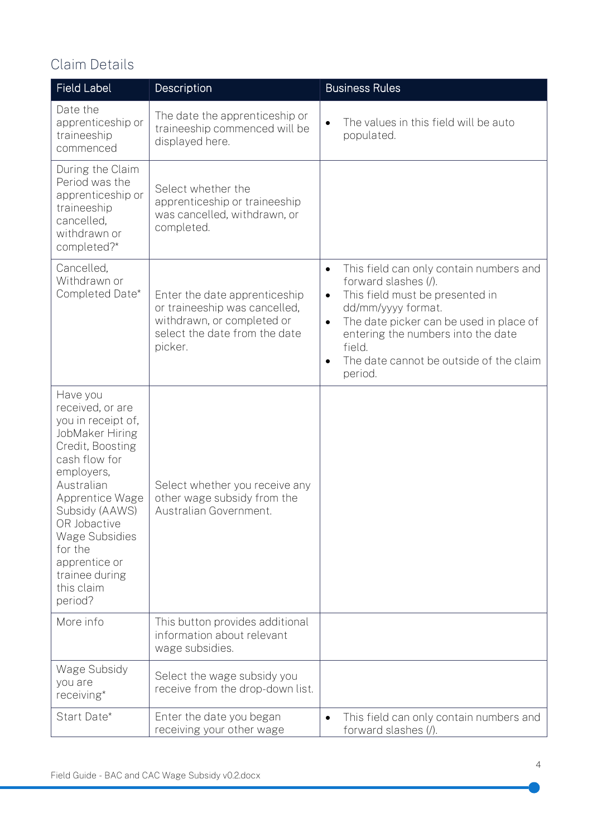### <span id="page-3-0"></span>Claim Details

| <b>Field Label</b>                                                                                                                                                                                                                                                                          | Description                                                                                                                              | <b>Business Rules</b>                                                                                                                                                                                                                                                                                                         |
|---------------------------------------------------------------------------------------------------------------------------------------------------------------------------------------------------------------------------------------------------------------------------------------------|------------------------------------------------------------------------------------------------------------------------------------------|-------------------------------------------------------------------------------------------------------------------------------------------------------------------------------------------------------------------------------------------------------------------------------------------------------------------------------|
| Date the<br>apprenticeship or<br>traineeship<br>commenced                                                                                                                                                                                                                                   | The date the apprenticeship or<br>traineeship commenced will be<br>displayed here.                                                       | The values in this field will be auto<br>$\bullet$<br>populated.                                                                                                                                                                                                                                                              |
| During the Claim<br>Period was the<br>apprenticeship or<br>traineeship<br>cancelled.<br>withdrawn or<br>completed?*                                                                                                                                                                         | Select whether the<br>apprenticeship or traineeship<br>was cancelled, withdrawn, or<br>completed.                                        |                                                                                                                                                                                                                                                                                                                               |
| Cancelled,<br>Withdrawn or<br>Completed Date*                                                                                                                                                                                                                                               | Enter the date apprenticeship<br>or traineeship was cancelled,<br>withdrawn, or completed or<br>select the date from the date<br>picker. | This field can only contain numbers and<br>$\bullet$<br>forward slashes (/).<br>This field must be presented in<br>$\bullet$<br>dd/mm/yyyy format.<br>The date picker can be used in place of<br>$\bullet$<br>entering the numbers into the date<br>field.<br>The date cannot be outside of the claim<br>$\bullet$<br>period. |
| Have you<br>received, or are<br>you in receipt of,<br>JobMaker Hiring<br>Credit, Boosting<br>cash flow for<br>employers,<br>Australian<br>Apprentice Wage<br>Subsidy (AAWS)<br>OR Jobactive<br><b>Wage Subsidies</b><br>for the<br>apprentice or<br>trainee during<br>this claim<br>period? | Select whether you receive any<br>other wage subsidy from the<br>Australian Government.                                                  |                                                                                                                                                                                                                                                                                                                               |
| More info                                                                                                                                                                                                                                                                                   | This button provides additional<br>information about relevant<br>wage subsidies.                                                         |                                                                                                                                                                                                                                                                                                                               |
| Wage Subsidy<br>you are<br>receiving*                                                                                                                                                                                                                                                       | Select the wage subsidy you<br>receive from the drop-down list.                                                                          |                                                                                                                                                                                                                                                                                                                               |
| Start Date*                                                                                                                                                                                                                                                                                 | Enter the date you began<br>receiving your other wage                                                                                    | This field can only contain numbers and<br>$\bullet$<br>forward slashes (/).                                                                                                                                                                                                                                                  |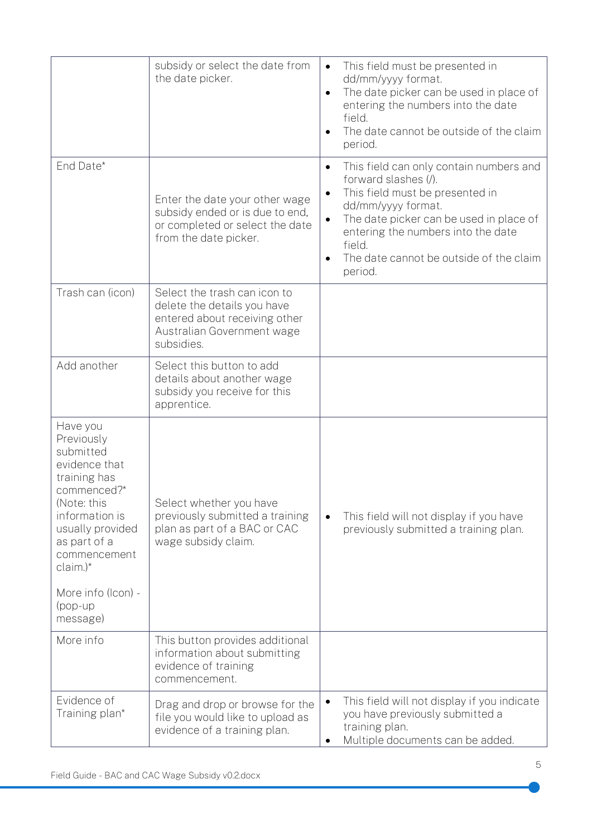|                                                                                                                                                                                                                                       | subsidy or select the date from<br>the date picker.                                                                                      | This field must be presented in<br>dd/mm/yyyy format.<br>The date picker can be used in place of<br>$\bullet$<br>entering the numbers into the date<br>field.<br>The date cannot be outside of the claim<br>period.                                                                                              |
|---------------------------------------------------------------------------------------------------------------------------------------------------------------------------------------------------------------------------------------|------------------------------------------------------------------------------------------------------------------------------------------|------------------------------------------------------------------------------------------------------------------------------------------------------------------------------------------------------------------------------------------------------------------------------------------------------------------|
| End Date*                                                                                                                                                                                                                             | Enter the date your other wage<br>subsidy ended or is due to end,<br>or completed or select the date<br>from the date picker.            | This field can only contain numbers and<br>$\bullet$<br>forward slashes (/).<br>This field must be presented in<br>$\bullet$<br>dd/mm/yyyy format.<br>The date picker can be used in place of<br>$\bullet$<br>entering the numbers into the date<br>field.<br>The date cannot be outside of the claim<br>period. |
| Trash can (icon)                                                                                                                                                                                                                      | Select the trash can icon to<br>delete the details you have<br>entered about receiving other<br>Australian Government wage<br>subsidies. |                                                                                                                                                                                                                                                                                                                  |
| Add another                                                                                                                                                                                                                           | Select this button to add<br>details about another wage<br>subsidy you receive for this<br>apprentice.                                   |                                                                                                                                                                                                                                                                                                                  |
| Have you<br>Previously<br>submitted<br>evidence that<br>training has<br>commenced?*<br>(Note: this<br>information is<br>usually provided<br>as part of a<br>commencement<br>$claim.)*$<br>More info (Icon) -<br>$(pop-up$<br>message) | Select whether you have<br>previously submitted a training<br>plan as part of a BAC or CAC<br>wage subsidy claim.                        | This field will not display if you have<br>$\bullet$<br>previously submitted a training plan.                                                                                                                                                                                                                    |
| More info                                                                                                                                                                                                                             | This button provides additional<br>information about submitting<br>evidence of training<br>commencement.                                 |                                                                                                                                                                                                                                                                                                                  |
| Evidence of<br>Training plan*                                                                                                                                                                                                         | Drag and drop or browse for the<br>file you would like to upload as<br>evidence of a training plan.                                      | This field will not display if you indicate<br>$\bullet$<br>you have previously submitted a<br>training plan.<br>Multiple documents can be added.                                                                                                                                                                |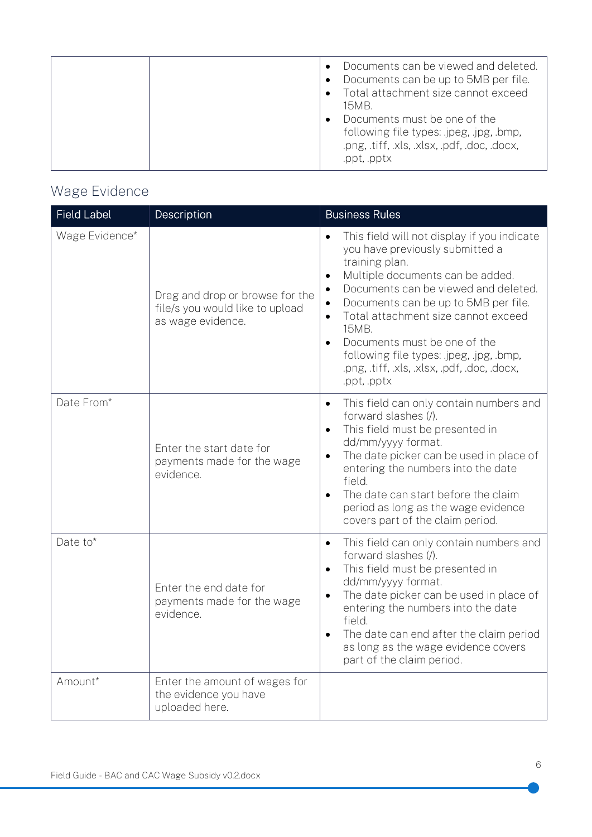## <span id="page-5-0"></span>Wage Evidence

| <b>Field Label</b> | Description                                                                             | <b>Business Rules</b>                                                                                                                                                                                                                                                                                                                                                                                                                     |
|--------------------|-----------------------------------------------------------------------------------------|-------------------------------------------------------------------------------------------------------------------------------------------------------------------------------------------------------------------------------------------------------------------------------------------------------------------------------------------------------------------------------------------------------------------------------------------|
| Wage Evidence*     | Drag and drop or browse for the<br>file/s you would like to upload<br>as wage evidence. | This field will not display if you indicate<br>you have previously submitted a<br>training plan.<br>Multiple documents can be added.<br>$\bullet$<br>Documents can be viewed and deleted.<br>Documents can be up to 5MB per file.<br>Total attachment size cannot exceed<br>$\bullet$<br>15MB.<br>Documents must be one of the<br>following file types: .jpeg, .jpg, .bmp,<br>.png, .tiff, .xls, .xlsx, .pdf, .doc, .docx,<br>.ppt, .pptx |
| Date From*         | Enter the start date for<br>payments made for the wage<br>evidence.                     | This field can only contain numbers and<br>forward slashes (/).<br>This field must be presented in<br>$\bullet$<br>dd/mm/yyyy format.<br>The date picker can be used in place of<br>$\bullet$<br>entering the numbers into the date<br>field.<br>The date can start before the claim<br>period as long as the wage evidence<br>covers part of the claim period.                                                                           |
| Date to*           | Enter the end date for<br>payments made for the wage<br>evidence.                       | This field can only contain numbers and<br>$\bullet$<br>forward slashes (/).<br>This field must be presented in<br>$\bullet$<br>dd/mm/yyyy format.<br>The date picker can be used in place of<br>$\bullet$<br>entering the numbers into the date<br>field.<br>The date can end after the claim period<br>as long as the wage evidence covers<br>part of the claim period.                                                                 |
| Amount*            | Enter the amount of wages for<br>the evidence you have<br>uploaded here.                |                                                                                                                                                                                                                                                                                                                                                                                                                                           |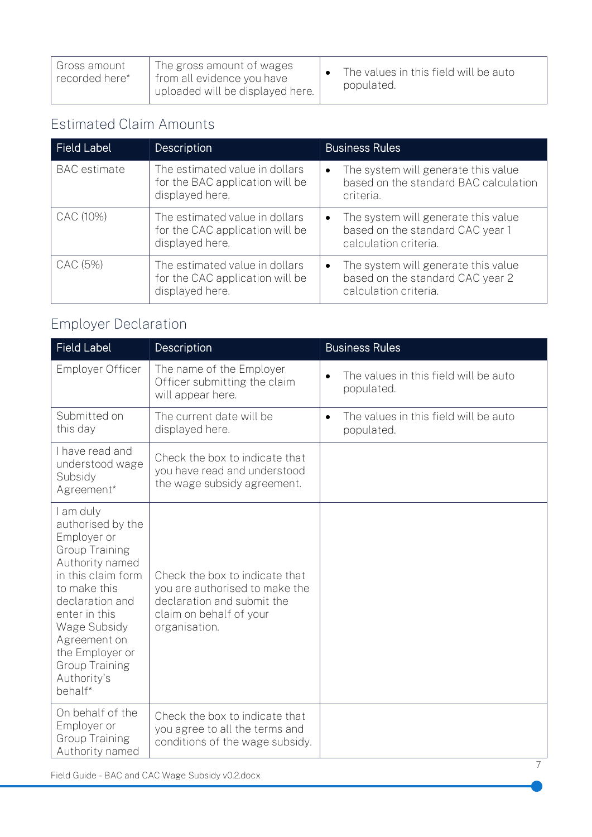#### <span id="page-6-0"></span>Estimated Claim Amounts

| <b>Field Label</b>  | Description                                                                          | <b>Business Rules</b>                                                                                         |
|---------------------|--------------------------------------------------------------------------------------|---------------------------------------------------------------------------------------------------------------|
| <b>BAC</b> estimate | The estimated value in dollars<br>for the BAC application will be<br>displayed here. | The system will generate this value<br>$\bullet$<br>based on the standard BAC calculation<br>criteria.        |
| CAC (10%)           | The estimated value in dollars<br>for the CAC application will be<br>displayed here. | The system will generate this value<br>$\bullet$<br>based on the standard CAC year 1<br>calculation criteria. |
| CAC (5%)            | The estimated value in dollars<br>for the CAC application will be<br>displayed here. | The system will generate this value<br>$\bullet$<br>based on the standard CAC year 2<br>calculation criteria. |

## <span id="page-6-1"></span>Employer Declaration

| <b>Field Label</b>                                                                                                                                                                                                                                                        | Description                                                                                                                                | <b>Business Rules</b>                                            |  |  |
|---------------------------------------------------------------------------------------------------------------------------------------------------------------------------------------------------------------------------------------------------------------------------|--------------------------------------------------------------------------------------------------------------------------------------------|------------------------------------------------------------------|--|--|
| <b>Employer Officer</b>                                                                                                                                                                                                                                                   | The name of the Employer<br>Officer submitting the claim<br>will appear here.                                                              | The values in this field will be auto<br>$\bullet$<br>populated. |  |  |
| Submitted on<br>this day                                                                                                                                                                                                                                                  | The current date will be<br>displayed here.                                                                                                | The values in this field will be auto<br>$\bullet$<br>populated. |  |  |
| I have read and<br>understood wage<br>Subsidy<br>Agreement*                                                                                                                                                                                                               | Check the box to indicate that<br>you have read and understood<br>the wage subsidy agreement.                                              |                                                                  |  |  |
| I am duly<br>authorised by the<br>Employer or<br><b>Group Training</b><br>Authority named<br>in this claim form<br>to make this<br>declaration and<br>enter in this<br>Wage Subsidy<br>Agreement on<br>the Employer or<br><b>Group Training</b><br>Authority's<br>behalf* | Check the box to indicate that<br>you are authorised to make the<br>declaration and submit the<br>claim on behalf of your<br>organisation. |                                                                  |  |  |
| On behalf of the<br>Employer or<br><b>Group Training</b><br>Authority named                                                                                                                                                                                               | Check the box to indicate that<br>you agree to all the terms and<br>conditions of the wage subsidy.                                        |                                                                  |  |  |